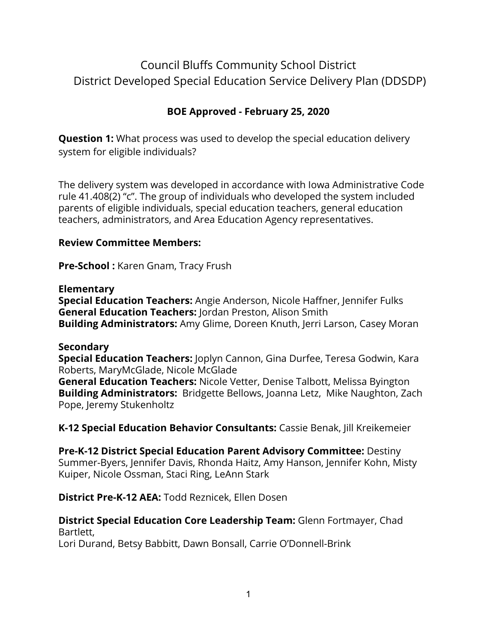# Council Bluffs Community School District District Developed Special Education Service Delivery Plan (DDSDP)

# **BOE Approved - February 25, 2020**

**Question 1:** What process was used to develop the special education delivery system for eligible individuals?

The delivery system was developed in accordance with Iowa Administrative Code rule 41.408(2) "c". The group of individuals who developed the system included parents of eligible individuals, special education teachers, general education teachers, administrators, and Area Education Agency representatives.

#### **Review Committee Members:**

**Pre-School :** Karen Gnam, Tracy Frush

#### **Elementary**

**Special Education Teachers:** Angie Anderson, Nicole Haffner, Jennifer Fulks **General Education Teachers:** Jordan Preston, Alison Smith **Building Administrators:** Amy Glime, Doreen Knuth, Jerri Larson, Casey Moran

#### **Secondary**

**Special Education Teachers:** Joplyn Cannon, Gina Durfee, Teresa Godwin, Kara Roberts, MaryMcGlade, Nicole McGlade

**General Education Teachers:** Nicole Vetter, Denise Talbott, Melissa Byington **Building Administrators:** Bridgette Bellows, Joanna Letz, Mike Naughton, Zach Pope, Jeremy Stukenholtz

**K-12 Special Education Behavior Consultants:** Cassie Benak, Jill Kreikemeier

**Pre-K-12 District Special Education Parent Advisory Committee:** Destiny Summer-Byers, Jennifer Davis, Rhonda Haitz, Amy Hanson, Jennifer Kohn, Misty Kuiper, Nicole Ossman, Staci Ring, LeAnn Stark

**District Pre-K-12 AEA:** Todd Reznicek, Ellen Dosen

#### **District Special Education Core Leadership Team:** Glenn Fortmayer, Chad Bartlett,

Lori Durand, Betsy Babbitt, Dawn Bonsall, Carrie O'Donnell-Brink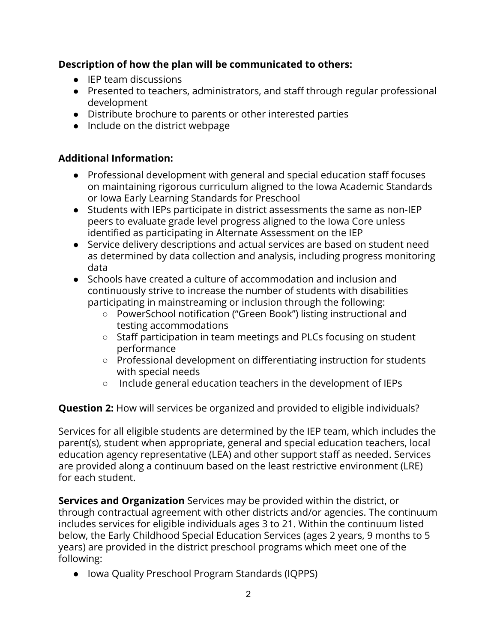## **Description of how the plan will be communicated to others:**

- IEP team discussions
- Presented to teachers, administrators, and staff through regular professional development
- Distribute brochure to parents or other interested parties
- Include on the district webpage

## **Additional Information:**

- Professional development with general and special education staff focuses on maintaining rigorous curriculum aligned to the Iowa Academic Standards or Iowa Early Learning Standards for Preschool
- Students with IEPs participate in district assessments the same as non-IEP peers to evaluate grade level progress aligned to the Iowa Core unless identified as participating in Alternate Assessment on the IEP
- Service delivery descriptions and actual services are based on student need as determined by data collection and analysis, including progress monitoring data
- Schools have created a culture of accommodation and inclusion and continuously strive to increase the number of students with disabilities participating in mainstreaming or inclusion through the following:
	- PowerSchool notification ("Green Book") listing instructional and testing accommodations
	- Staff participation in team meetings and PLCs focusing on student performance
	- Professional development on differentiating instruction for students with special needs
	- Include general education teachers in the development of IEPs

## **Question 2:** How will services be organized and provided to eligible individuals?

Services for all eligible students are determined by the IEP team, which includes the parent(s), student when appropriate, general and special education teachers, local education agency representative (LEA) and other support staff as needed. Services are provided along a continuum based on the least restrictive environment (LRE) for each student.

**Services and Organization** Services may be provided within the district, or through contractual agreement with other districts and/or agencies. The continuum includes services for eligible individuals ages 3 to 21. Within the continuum listed below, the Early Childhood Special Education Services (ages 2 years, 9 months to 5 years) are provided in the district preschool programs which meet one of the following:

● Iowa Quality Preschool Program Standards (IQPPS)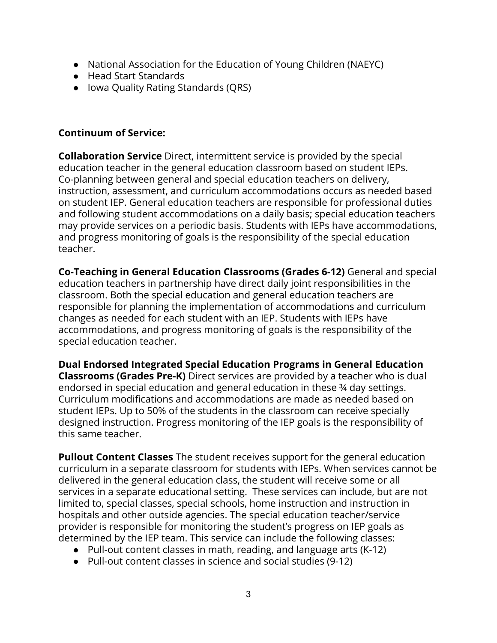- National Association for the Education of Young Children (NAEYC)
- Head Start Standards
- Iowa Quality Rating Standards (QRS)

### **Continuum of Service:**

**Collaboration Service** Direct, intermittent service is provided by the special education teacher in the general education classroom based on student IEPs. Co-planning between general and special education teachers on delivery, instruction, assessment, and curriculum accommodations occurs as needed based on student IEP. General education teachers are responsible for professional duties and following student accommodations on a daily basis; special education teachers may provide services on a periodic basis. Students with IEPs have accommodations, and progress monitoring of goals is the responsibility of the special education teacher.

**Co-Teaching in General Education Classrooms (Grades 6-12)** General and special education teachers in partnership have direct daily joint responsibilities in the classroom. Both the special education and general education teachers are responsible for planning the implementation of accommodations and curriculum changes as needed for each student with an IEP. Students with IEPs have accommodations, and progress monitoring of goals is the responsibility of the special education teacher.

**Dual Endorsed Integrated Special Education Programs in General Education Classrooms (Grades Pre-K)** Direct services are provided by a teacher who is dual endorsed in special education and general education in these ¾ day settings. Curriculum modifications and accommodations are made as needed based on student IEPs. Up to 50% of the students in the classroom can receive specially designed instruction. Progress monitoring of the IEP goals is the responsibility of this same teacher.

**Pullout Content Classes** The student receives support for the general education curriculum in a separate classroom for students with IEPs. When services cannot be delivered in the general education class, the student will receive some or all services in a separate educational setting. These services can include, but are not limited to, special classes, special schools, home instruction and instruction in hospitals and other outside agencies. The special education teacher/service provider is responsible for monitoring the student's progress on IEP goals as determined by the IEP team. This service can include the following classes:

- Pull-out content classes in math, reading, and language arts (K-12)
- Pull-out content classes in science and social studies (9-12)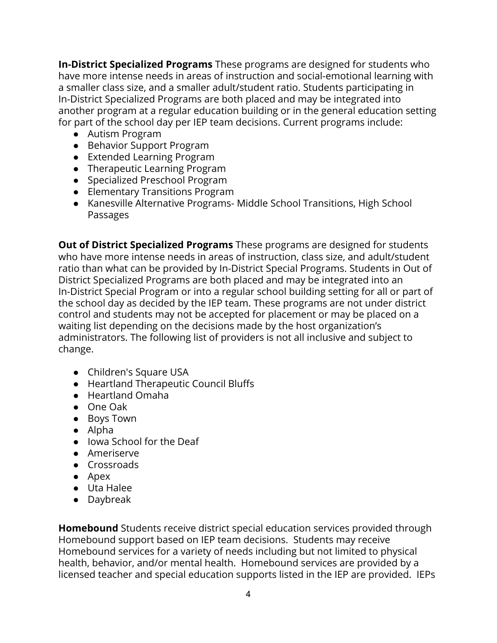**In-District Specialized Programs** These programs are designed for students who have more intense needs in areas of instruction and social-emotional learning with a smaller class size, and a smaller adult/student ratio. Students participating in In-District Specialized Programs are both placed and may be integrated into another program at a regular education building or in the general education setting for part of the school day per IEP team decisions. Current programs include:

- Autism Program
- Behavior Support Program
- Extended Learning Program
- Therapeutic Learning Program
- Specialized Preschool Program
- Elementary Transitions Program
- Kanesville Alternative Programs- Middle School Transitions, High School Passages

**Out of District Specialized Programs** These programs are designed for students who have more intense needs in areas of instruction, class size, and adult/student ratio than what can be provided by In-District Special Programs. Students in Out of District Specialized Programs are both placed and may be integrated into an In-District Special Program or into a regular school building setting for all or part of the school day as decided by the IEP team. These programs are not under district control and students may not be accepted for placement or may be placed on a waiting list depending on the decisions made by the host organization's administrators. The following list of providers is not all inclusive and subject to change.

- Children's Square USA
- Heartland Therapeutic Council Bluffs
- Heartland Omaha
- One Oak
- Boys Town
- Alpha
- Iowa School for the Deaf
- Ameriserve
- Crossroads
- Apex
- Uta Halee
- Daybreak

**Homebound** Students receive district special education services provided through Homebound support based on IEP team decisions. Students may receive Homebound services for a variety of needs including but not limited to physical health, behavior, and/or mental health. Homebound services are provided by a licensed teacher and special education supports listed in the IEP are provided. IEPs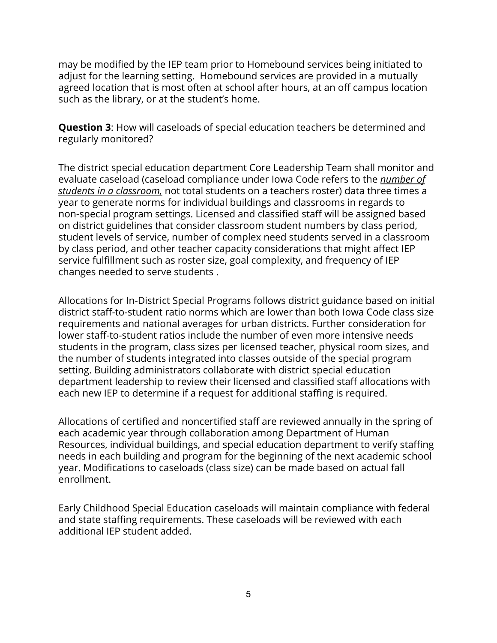may be modified by the IEP team prior to Homebound services being initiated to adjust for the learning setting. Homebound services are provided in a mutually agreed location that is most often at school after hours, at an off campus location such as the library, or at the student's home.

**Question 3**: How will caseloads of special education teachers be determined and regularly monitored?

The district special education department Core Leadership Team shall monitor and evaluate caseload (caseload compliance under Iowa Code refers to the *number of students in a classroom,* not total students on a teachers roster) data three times a year to generate norms for individual buildings and classrooms in regards to non-special program settings. Licensed and classified staff will be assigned based on district guidelines that consider classroom student numbers by class period, student levels of service, number of complex need students served in a classroom by class period, and other teacher capacity considerations that might affect IEP service fulfillment such as roster size, goal complexity, and frequency of IEP changes needed to serve students .

Allocations for In-District Special Programs follows district guidance based on initial district staff-to-student ratio norms which are lower than both Iowa Code class size requirements and national averages for urban districts. Further consideration for lower staff-to-student ratios include the number of even more intensive needs students in the program, class sizes per licensed teacher, physical room sizes, and the number of students integrated into classes outside of the special program setting. Building administrators collaborate with district special education department leadership to review their licensed and classified staff allocations with each new IEP to determine if a request for additional staffing is required.

Allocations of certified and noncertified staff are reviewed annually in the spring of each academic year through collaboration among Department of Human Resources, individual buildings, and special education department to verify staffing needs in each building and program for the beginning of the next academic school year. Modifications to caseloads (class size) can be made based on actual fall enrollment.

Early Childhood Special Education caseloads will maintain compliance with federal and state staffing requirements. These caseloads will be reviewed with each additional IEP student added.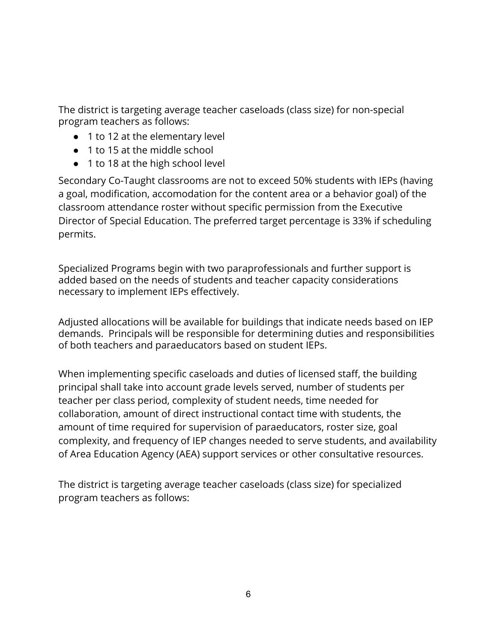The district is targeting average teacher caseloads (class size) for non-special program teachers as follows:

- 1 to 12 at the elementary level
- 1 to 15 at the middle school
- 1 to 18 at the high school level

Secondary Co-Taught classrooms are not to exceed 50% students with IEPs (having a goal, modification, accomodation for the content area or a behavior goal) of the classroom attendance roster without specific permission from the Executive Director of Special Education. The preferred target percentage is 33% if scheduling permits.

Specialized Programs begin with two paraprofessionals and further support is added based on the needs of students and teacher capacity considerations necessary to implement IEPs effectively.

Adjusted allocations will be available for buildings that indicate needs based on IEP demands. Principals will be responsible for determining duties and responsibilities of both teachers and paraeducators based on student IEPs.

When implementing specific caseloads and duties of licensed staff, the building principal shall take into account grade levels served, number of students per teacher per class period, complexity of student needs, time needed for collaboration, amount of direct instructional contact time with students, the amount of time required for supervision of paraeducators, roster size, goal complexity, and frequency of IEP changes needed to serve students, and availability of Area Education Agency (AEA) support services or other consultative resources.

The district is targeting average teacher caseloads (class size) for specialized program teachers as follows: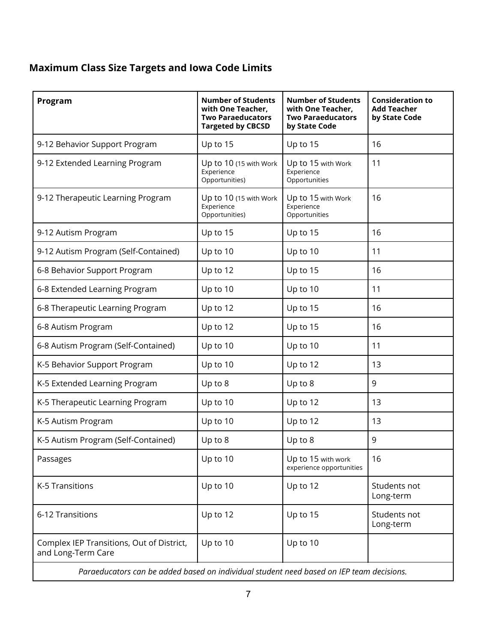# **Maximum Class Size Targets and Iowa Code Limits**

| Program                                                                                  | <b>Number of Students</b><br>with One Teacher,<br><b>Two Paraeducators</b><br><b>Targeted by CBCSD</b> | <b>Number of Students</b><br>with One Teacher,<br><b>Two Paraeducators</b><br>by State Code | <b>Consideration to</b><br><b>Add Teacher</b><br>by State Code |
|------------------------------------------------------------------------------------------|--------------------------------------------------------------------------------------------------------|---------------------------------------------------------------------------------------------|----------------------------------------------------------------|
| 9-12 Behavior Support Program                                                            | Up to 15                                                                                               | Up to 15                                                                                    | 16                                                             |
| 9-12 Extended Learning Program                                                           | Up to 10 (15 with Work<br>Experience<br>Opportunities)                                                 | Up to 15 with Work<br>Experience<br>Opportunities                                           | 11                                                             |
| 9-12 Therapeutic Learning Program                                                        | Up to 10 (15 with Work<br>Experience<br>Opportunities)                                                 | Up to 15 with Work<br>Experience<br>Opportunities                                           | 16                                                             |
| 9-12 Autism Program                                                                      | Up to 15                                                                                               | Up to 15                                                                                    | 16                                                             |
| 9-12 Autism Program (Self-Contained)                                                     | Up to 10                                                                                               | Up to 10                                                                                    | 11                                                             |
| 6-8 Behavior Support Program                                                             | Up to 12                                                                                               | Up to 15                                                                                    | 16                                                             |
| 6-8 Extended Learning Program                                                            | Up to 10                                                                                               | Up to 10                                                                                    | 11                                                             |
| 6-8 Therapeutic Learning Program                                                         | Up to 12                                                                                               | Up to 15                                                                                    | 16                                                             |
| 6-8 Autism Program                                                                       | Up to 12                                                                                               | Up to 15                                                                                    | 16                                                             |
| 6-8 Autism Program (Self-Contained)                                                      | Up to 10                                                                                               | Up to 10                                                                                    | 11                                                             |
| K-5 Behavior Support Program                                                             | Up to 10                                                                                               | Up to 12                                                                                    | 13                                                             |
| K-5 Extended Learning Program                                                            | Up to 8                                                                                                | Up to 8                                                                                     | 9                                                              |
| K-5 Therapeutic Learning Program                                                         | Up to 10                                                                                               | Up to 12                                                                                    | 13                                                             |
| K-5 Autism Program                                                                       | Up to 10                                                                                               | Up to 12                                                                                    | 13                                                             |
| K-5 Autism Program (Self-Contained)                                                      | Up to 8                                                                                                | Up to 8                                                                                     | 9                                                              |
| Passages                                                                                 | Up to 10                                                                                               | Up to 15 with work<br>experience opportunities                                              | 16                                                             |
| K-5 Transitions                                                                          | Up to 10                                                                                               | Up to 12                                                                                    | Students not<br>Long-term                                      |
| 6-12 Transitions                                                                         | Up to 12                                                                                               | Up to 15                                                                                    | Students not<br>Long-term                                      |
| Complex IEP Transitions, Out of District,<br>and Long-Term Care                          | Up to 10                                                                                               | Up to 10                                                                                    |                                                                |
| Paraeducators can be added based on individual student need based on IEP team decisions. |                                                                                                        |                                                                                             |                                                                |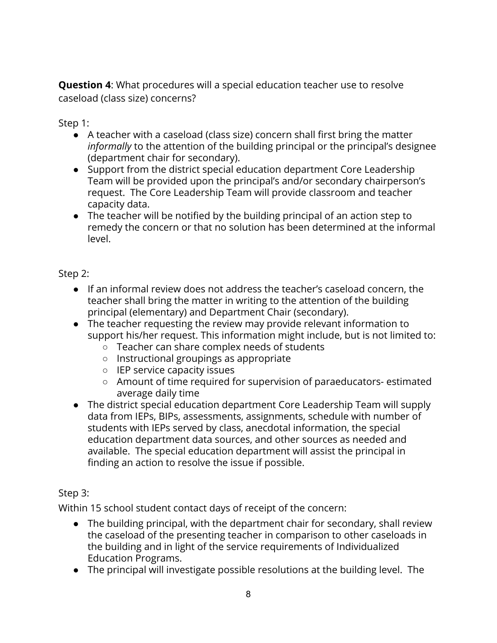**Question 4**: What procedures will a special education teacher use to resolve caseload (class size) concerns?

Step 1:

- A teacher with a caseload (class size) concern shall first bring the matter *informally* to the attention of the building principal or the principal's designee (department chair for secondary).
- Support from the district special education department Core Leadership Team will be provided upon the principal's and/or secondary chairperson's request. The Core Leadership Team will provide classroom and teacher capacity data.
- The teacher will be notified by the building principal of an action step to remedy the concern or that no solution has been determined at the informal level.

Step 2:

- If an informal review does not address the teacher's caseload concern, the teacher shall bring the matter in writing to the attention of the building principal (elementary) and Department Chair (secondary).
- The teacher requesting the review may provide relevant information to support his/her request. This information might include, but is not limited to:
	- Teacher can share complex needs of students
	- Instructional groupings as appropriate
	- IEP service capacity issues
	- Amount of time required for supervision of paraeducators- estimated average daily time
- The district special education department Core Leadership Team will supply data from IEPs, BIPs, assessments, assignments, schedule with number of students with IEPs served by class, anecdotal information, the special education department data sources, and other sources as needed and available. The special education department will assist the principal in finding an action to resolve the issue if possible.

# Step 3:

Within 15 school student contact days of receipt of the concern:

- The building principal, with the department chair for secondary, shall review the caseload of the presenting teacher in comparison to other caseloads in the building and in light of the service requirements of Individualized Education Programs.
- The principal will investigate possible resolutions at the building level. The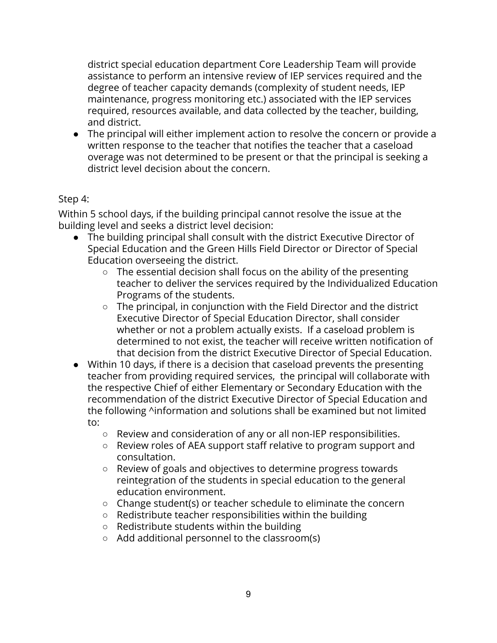district special education department Core Leadership Team will provide assistance to perform an intensive review of IEP services required and the degree of teacher capacity demands (complexity of student needs, IEP maintenance, progress monitoring etc.) associated with the IEP services required, resources available, and data collected by the teacher, building, and district.

● The principal will either implement action to resolve the concern or provide a written response to the teacher that notifies the teacher that a caseload overage was not determined to be present or that the principal is seeking a district level decision about the concern.

## Step 4:

Within 5 school days, if the building principal cannot resolve the issue at the building level and seeks a district level decision:

- The building principal shall consult with the district Executive Director of Special Education and the Green Hills Field Director or Director of Special Education overseeing the district.
	- The essential decision shall focus on the ability of the presenting teacher to deliver the services required by the Individualized Education Programs of the students.
	- The principal, in conjunction with the Field Director and the district Executive Director of Special Education Director, shall consider whether or not a problem actually exists. If a caseload problem is determined to not exist, the teacher will receive written notification of that decision from the district Executive Director of Special Education.
- Within 10 days, if there is a decision that caseload prevents the presenting teacher from providing required services, the principal will collaborate with the respective Chief of either Elementary or Secondary Education with the recommendation of the district Executive Director of Special Education and the following ^information and solutions shall be examined but not limited to:
	- Review and consideration of any or all non-IEP responsibilities.
	- Review roles of AEA support staff relative to program support and consultation.
	- Review of goals and objectives to determine progress towards reintegration of the students in special education to the general education environment.
	- Change student(s) or teacher schedule to eliminate the concern
	- Redistribute teacher responsibilities within the building
	- Redistribute students within the building
	- Add additional personnel to the classroom(s)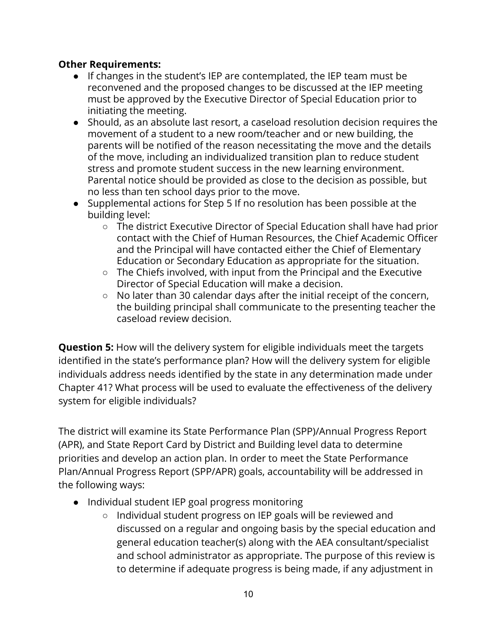## **Other Requirements:**

- If changes in the student's IEP are contemplated, the IEP team must be reconvened and the proposed changes to be discussed at the IEP meeting must be approved by the Executive Director of Special Education prior to initiating the meeting.
- Should, as an absolute last resort, a caseload resolution decision requires the movement of a student to a new room/teacher and or new building, the parents will be notified of the reason necessitating the move and the details of the move, including an individualized transition plan to reduce student stress and promote student success in the new learning environment. Parental notice should be provided as close to the decision as possible, but no less than ten school days prior to the move.
- Supplemental actions for Step 5 If no resolution has been possible at the building level:
	- The district Executive Director of Special Education shall have had prior contact with the Chief of Human Resources, the Chief Academic Officer and the Principal will have contacted either the Chief of Elementary Education or Secondary Education as appropriate for the situation.
	- The Chiefs involved, with input from the Principal and the Executive Director of Special Education will make a decision.
	- No later than 30 calendar days after the initial receipt of the concern, the building principal shall communicate to the presenting teacher the caseload review decision.

**Question 5:** How will the delivery system for eligible individuals meet the targets identified in the state's performance plan? How will the delivery system for eligible individuals address needs identified by the state in any determination made under Chapter 41? What process will be used to evaluate the effectiveness of the delivery system for eligible individuals?

The district will examine its State Performance Plan (SPP)/Annual Progress Report (APR), and State Report Card by District and Building level data to determine priorities and develop an action plan. In order to meet the State Performance Plan/Annual Progress Report (SPP/APR) goals, accountability will be addressed in the following ways:

- Individual student IEP goal progress monitoring
	- Individual student progress on IEP goals will be reviewed and discussed on a regular and ongoing basis by the special education and general education teacher(s) along with the AEA consultant/specialist and school administrator as appropriate. The purpose of this review is to determine if adequate progress is being made, if any adjustment in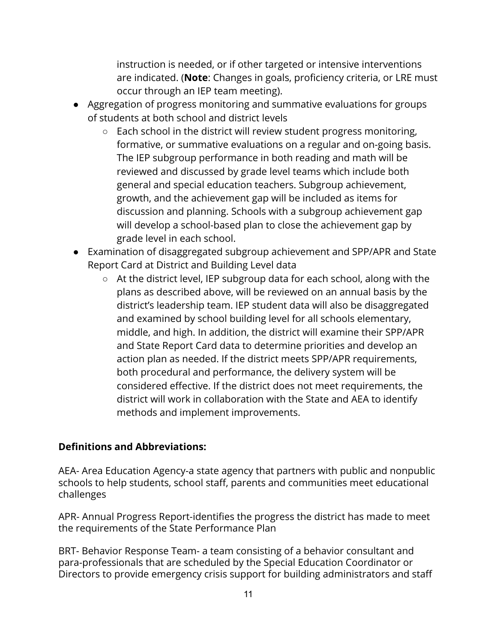instruction is needed, or if other targeted or intensive interventions are indicated. (**Note**: Changes in goals, proficiency criteria, or LRE must occur through an IEP team meeting).

- Aggregation of progress monitoring and summative evaluations for groups of students at both school and district levels
	- Each school in the district will review student progress monitoring, formative, or summative evaluations on a regular and on-going basis. The IEP subgroup performance in both reading and math will be reviewed and discussed by grade level teams which include both general and special education teachers. Subgroup achievement, growth, and the achievement gap will be included as items for discussion and planning. Schools with a subgroup achievement gap will develop a school-based plan to close the achievement gap by grade level in each school.
- Examination of disaggregated subgroup achievement and SPP/APR and State Report Card at District and Building Level data
	- At the district level, IEP subgroup data for each school, along with the plans as described above, will be reviewed on an annual basis by the district's leadership team. IEP student data will also be disaggregated and examined by school building level for all schools elementary, middle, and high. In addition, the district will examine their SPP/APR and State Report Card data to determine priorities and develop an action plan as needed. If the district meets SPP/APR requirements, both procedural and performance, the delivery system will be considered effective. If the district does not meet requirements, the district will work in collaboration with the State and AEA to identify methods and implement improvements.

## **Definitions and Abbreviations:**

AEA- Area Education Agency-a state agency that partners with public and nonpublic schools to help students, school staff, parents and communities meet educational challenges

APR- Annual Progress Report-identifies the progress the district has made to meet the requirements of the State Performance Plan

BRT- Behavior Response Team- a team consisting of a behavior consultant and para-professionals that are scheduled by the Special Education Coordinator or Directors to provide emergency crisis support for building administrators and staff